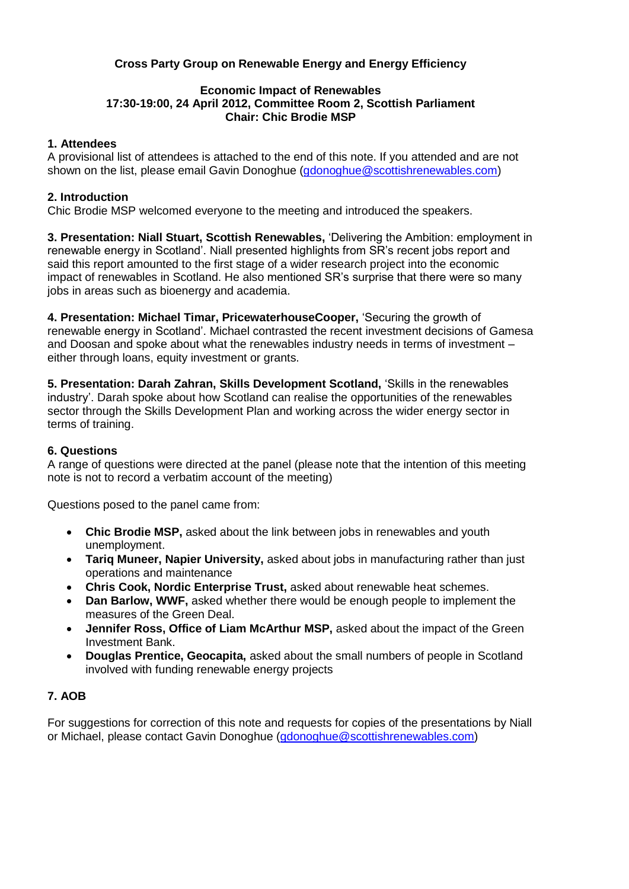# **Cross Party Group on Renewable Energy and Energy Efficiency**

#### **Economic Impact of Renewables 17:30-19:00, 24 April 2012, Committee Room 2, Scottish Parliament Chair: Chic Brodie MSP**

## **1. Attendees**

A provisional list of attendees is attached to the end of this note. If you attended and are not shown on the list, please email Gavin Donoghue [\(gdonoghue@scottishrenewables.com\)](mailto:gdonoghue@scottishrenewables.com)

## **2. Introduction**

Chic Brodie MSP welcomed everyone to the meeting and introduced the speakers.

**3. Presentation: Niall Stuart, Scottish Renewables,** 'Delivering the Ambition: employment in renewable energy in Scotland'. Niall presented highlights from SR's recent jobs report and said this report amounted to the first stage of a wider research project into the economic impact of renewables in Scotland. He also mentioned SR's surprise that there were so many jobs in areas such as bioenergy and academia.

**4. Presentation: Michael Timar, PricewaterhouseCooper,** 'Securing the growth of renewable energy in Scotland'. Michael contrasted the recent investment decisions of Gamesa and Doosan and spoke about what the renewables industry needs in terms of investment – either through loans, equity investment or grants.

**5. Presentation: Darah Zahran, Skills Development Scotland,** 'Skills in the renewables industry'. Darah spoke about how Scotland can realise the opportunities of the renewables sector through the Skills Development Plan and working across the wider energy sector in terms of training.

### **6. Questions**

A range of questions were directed at the panel (please note that the intention of this meeting note is not to record a verbatim account of the meeting)

Questions posed to the panel came from:

- **Chic Brodie MSP,** asked about the link between jobs in renewables and youth unemployment.
- **Tariq Muneer, Napier University,** asked about jobs in manufacturing rather than just operations and maintenance
- **Chris Cook, Nordic Enterprise Trust,** asked about renewable heat schemes.
- **Dan Barlow, WWF,** asked whether there would be enough people to implement the measures of the Green Deal.
- **Jennifer Ross, Office of Liam McArthur MSP,** asked about the impact of the Green Investment Bank.
- **Douglas Prentice, Geocapita,** asked about the small numbers of people in Scotland involved with funding renewable energy projects

# **7. AOB**

For suggestions for correction of this note and requests for copies of the presentations by Niall or Michael, please contact Gavin Donoghue [\(gdonoghue@scottishrenewables.com\)](mailto:gdonoghue@scottishrenewables.com)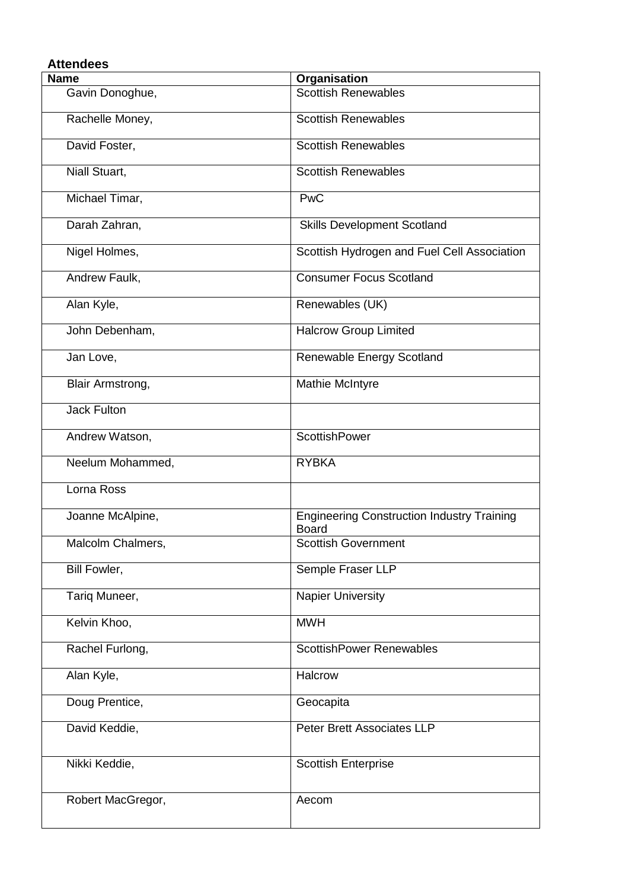| <b>Attendees</b>        |                                                            |  |
|-------------------------|------------------------------------------------------------|--|
| <b>Name</b>             | Organisation                                               |  |
| Gavin Donoghue,         | <b>Scottish Renewables</b>                                 |  |
| Rachelle Money,         | <b>Scottish Renewables</b>                                 |  |
| David Foster,           | <b>Scottish Renewables</b>                                 |  |
| Niall Stuart,           | <b>Scottish Renewables</b>                                 |  |
| Michael Timar,          | <b>PwC</b>                                                 |  |
| Darah Zahran,           | <b>Skills Development Scotland</b>                         |  |
| Nigel Holmes,           | Scottish Hydrogen and Fuel Cell Association                |  |
| Andrew Faulk,           | <b>Consumer Focus Scotland</b>                             |  |
| Alan Kyle,              | Renewables (UK)                                            |  |
| John Debenham,          | <b>Halcrow Group Limited</b>                               |  |
| Jan Love,               | Renewable Energy Scotland                                  |  |
| <b>Blair Armstrong,</b> | <b>Mathie McIntyre</b>                                     |  |
| <b>Jack Fulton</b>      |                                                            |  |
| Andrew Watson,          | ScottishPower                                              |  |
| Neelum Mohammed,        | <b>RYBKA</b>                                               |  |
| Lorna Ross              |                                                            |  |
| Joanne McAlpine,        | <b>Engineering Construction Industry Training</b><br>Board |  |
| Malcolm Chalmers,       | <b>Scottish Government</b>                                 |  |
| Bill Fowler,            | Semple Fraser LLP                                          |  |
| Tariq Muneer,           | <b>Napier University</b>                                   |  |
| Kelvin Khoo,            | <b>MWH</b>                                                 |  |
| Rachel Furlong,         | <b>ScottishPower Renewables</b>                            |  |
| Alan Kyle,              | Halcrow                                                    |  |
| Doug Prentice,          | Geocapita                                                  |  |
| David Keddie,           | Peter Brett Associates LLP                                 |  |
| Nikki Keddie,           | <b>Scottish Enterprise</b>                                 |  |
| Robert MacGregor,       | Aecom                                                      |  |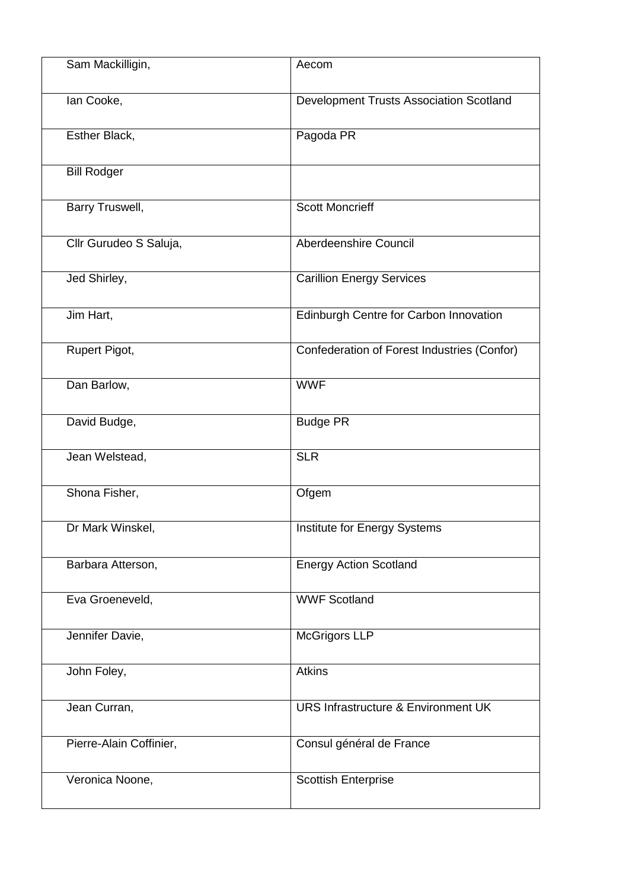| Sam Mackilligin,        | Aecom                                          |
|-------------------------|------------------------------------------------|
| lan Cooke,              | Development Trusts Association Scotland        |
| Esther Black,           | Pagoda PR                                      |
| <b>Bill Rodger</b>      |                                                |
| Barry Truswell,         | <b>Scott Moncrieff</b>                         |
| Cllr Gurudeo S Saluja,  | Aberdeenshire Council                          |
| Jed Shirley,            | <b>Carillion Energy Services</b>               |
| Jim Hart,               | Edinburgh Centre for Carbon Innovation         |
| Rupert Pigot,           | Confederation of Forest Industries (Confor)    |
| Dan Barlow,             | <b>WWF</b>                                     |
| David Budge,            | <b>Budge PR</b>                                |
| Jean Welstead,          | <b>SLR</b>                                     |
| Shona Fisher,           | Ofgem                                          |
| Dr Mark Winskel,        | Institute for Energy Systems                   |
| Barbara Atterson,       | <b>Energy Action Scotland</b>                  |
| Eva Groeneveld,         | <b>WWF Scotland</b>                            |
| Jennifer Davie,         | <b>McGrigors LLP</b>                           |
| John Foley,             | <b>Atkins</b>                                  |
| Jean Curran,            | <b>URS Infrastructure &amp; Environment UK</b> |
| Pierre-Alain Coffinier, | Consul général de France                       |
| Veronica Noone,         | <b>Scottish Enterprise</b>                     |